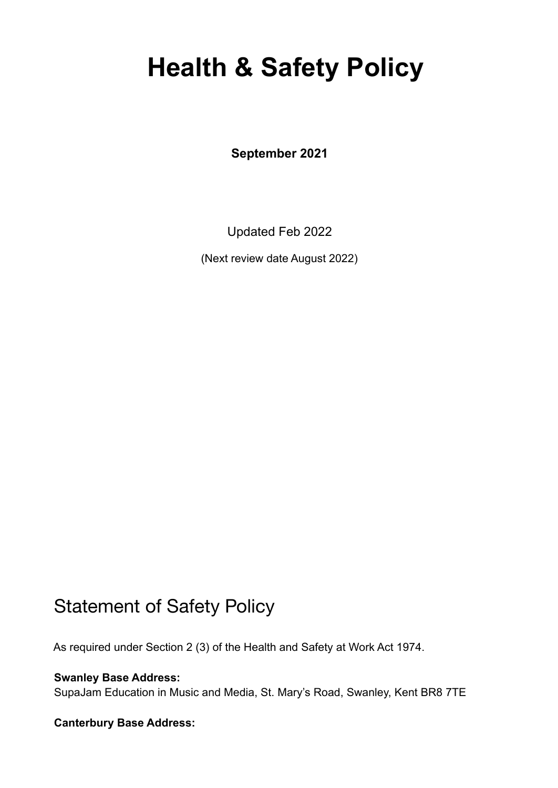# **Health & Safety Policy**

**September 2021**

Updated Feb 2022

(Next review date August 2022)

### Statement of Safety Policy

As required under Section 2 (3) of the Health and Safety at Work Act 1974.

**Swanley Base Address:** SupaJam Education in Music and Media, St. Mary's Road, Swanley, Kent BR8 7TE

#### **Canterbury Base Address:**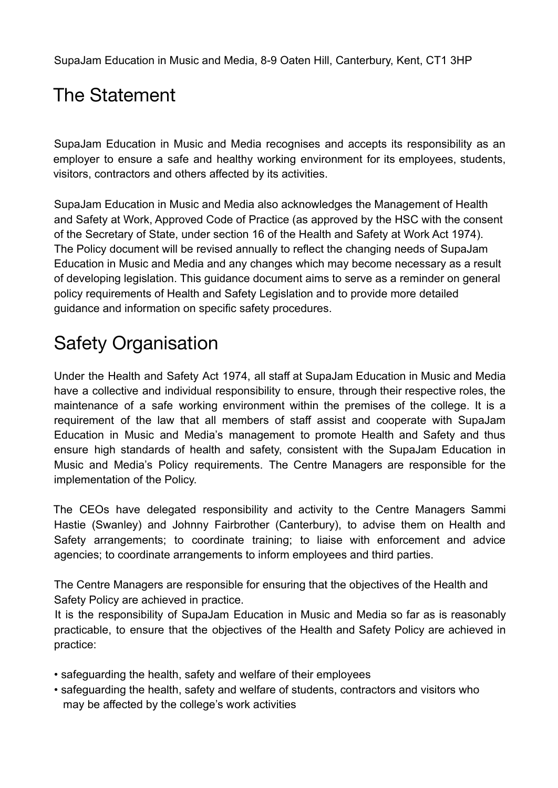SupaJam Education in Music and Media, 8-9 Oaten Hill, Canterbury, Kent, CT1 3HP

# The Statement

SupaJam Education in Music and Media recognises and accepts its responsibility as an employer to ensure a safe and healthy working environment for its employees, students, visitors, contractors and others affected by its activities.

SupaJam Education in Music and Media also acknowledges the Management of Health and Safety at Work, Approved Code of Practice (as approved by the HSC with the consent of the Secretary of State, under section 16 of the Health and Safety at Work Act 1974). The Policy document will be revised annually to reflect the changing needs of SupaJam Education in Music and Media and any changes which may become necessary as a result of developing legislation. This guidance document aims to serve as a reminder on general policy requirements of Health and Safety Legislation and to provide more detailed guidance and information on specific safety procedures.

## Safety Organisation

Under the Health and Safety Act 1974, all staff at SupaJam Education in Music and Media have a collective and individual responsibility to ensure, through their respective roles, the maintenance of a safe working environment within the premises of the college. It is a requirement of the law that all members of staff assist and cooperate with SupaJam Education in Music and Media's management to promote Health and Safety and thus ensure high standards of health and safety, consistent with the SupaJam Education in Music and Media's Policy requirements. The Centre Managers are responsible for the implementation of the Policy.

The CEOs have delegated responsibility and activity to the Centre Managers Sammi Hastie (Swanley) and Johnny Fairbrother (Canterbury), to advise them on Health and Safety arrangements; to coordinate training; to liaise with enforcement and advice agencies; to coordinate arrangements to inform employees and third parties.

The Centre Managers are responsible for ensuring that the objectives of the Health and Safety Policy are achieved in practice.

It is the responsibility of SupaJam Education in Music and Media so far as is reasonably practicable, to ensure that the objectives of the Health and Safety Policy are achieved in practice:

- safeguarding the health, safety and welfare of their employees
- safeguarding the health, safety and welfare of students, contractors and visitors who may be affected by the college's work activities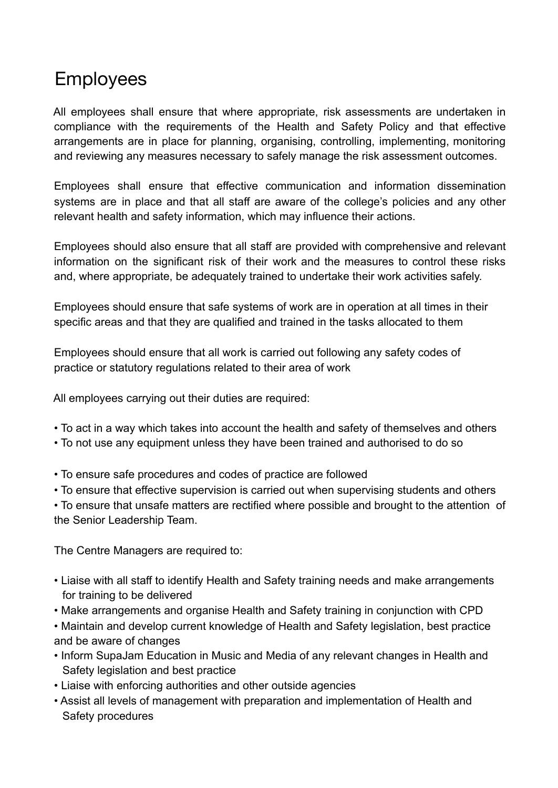### Employees

All employees shall ensure that where appropriate, risk assessments are undertaken in compliance with the requirements of the Health and Safety Policy and that effective arrangements are in place for planning, organising, controlling, implementing, monitoring and reviewing any measures necessary to safely manage the risk assessment outcomes.

Employees shall ensure that effective communication and information dissemination systems are in place and that all staff are aware of the college's policies and any other relevant health and safety information, which may influence their actions.

Employees should also ensure that all staff are provided with comprehensive and relevant information on the significant risk of their work and the measures to control these risks and, where appropriate, be adequately trained to undertake their work activities safely.

Employees should ensure that safe systems of work are in operation at all times in their specific areas and that they are qualified and trained in the tasks allocated to them

Employees should ensure that all work is carried out following any safety codes of practice or statutory regulations related to their area of work

All employees carrying out their duties are required:

- To act in a way which takes into account the health and safety of themselves and others
- To not use any equipment unless they have been trained and authorised to do so
- To ensure safe procedures and codes of practice are followed
- To ensure that effective supervision is carried out when supervising students and others

• To ensure that unsafe matters are rectified where possible and brought to the attention of the Senior Leadership Team.

The Centre Managers are required to:

- Liaise with all staff to identify Health and Safety training needs and make arrangements for training to be delivered
- Make arrangements and organise Health and Safety training in conjunction with CPD
- Maintain and develop current knowledge of Health and Safety legislation, best practice and be aware of changes
- Inform SupaJam Education in Music and Media of any relevant changes in Health and Safety legislation and best practice
- Liaise with enforcing authorities and other outside agencies
- Assist all levels of management with preparation and implementation of Health and Safety procedures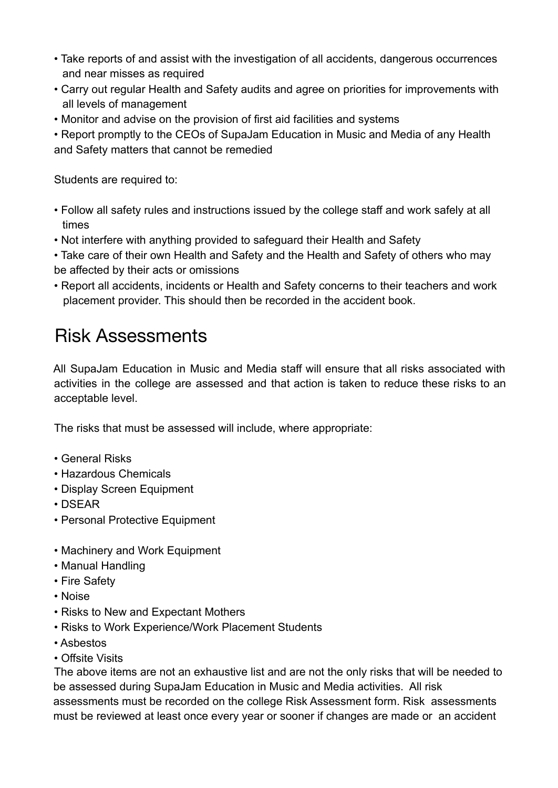- Take reports of and assist with the investigation of all accidents, dangerous occurrences and near misses as required
- Carry out regular Health and Safety audits and agree on priorities for improvements with all levels of management
- Monitor and advise on the provision of first aid facilities and systems
- Report promptly to the CEOs of SupaJam Education in Music and Media of any Health and Safety matters that cannot be remedied

Students are required to:

- Follow all safety rules and instructions issued by the college staff and work safely at all times
- Not interfere with anything provided to safeguard their Health and Safety
- Take care of their own Health and Safety and the Health and Safety of others who may be affected by their acts or omissions
- Report all accidents, incidents or Health and Safety concerns to their teachers and work placement provider. This should then be recorded in the accident book.

### Risk Assessments

All SupaJam Education in Music and Media staff will ensure that all risks associated with activities in the college are assessed and that action is taken to reduce these risks to an acceptable level.

The risks that must be assessed will include, where appropriate:

- General Risks
- Hazardous Chemicals
- Display Screen Equipment
- DSEAR
- Personal Protective Equipment
- Machinery and Work Equipment
- Manual Handling
- Fire Safety
- Noise
- Risks to New and Expectant Mothers
- Risks to Work Experience/Work Placement Students
- Asbestos
- Offsite Visits

The above items are not an exhaustive list and are not the only risks that will be needed to be assessed during SupaJam Education in Music and Media activities. All risk assessments must be recorded on the college Risk Assessment form. Risk assessments must be reviewed at least once every year or sooner if changes are made or an accident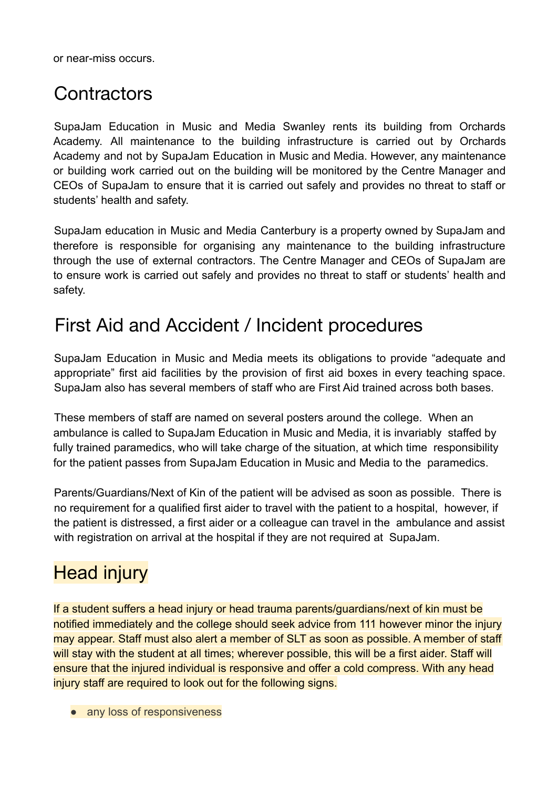or near-miss occurs.

#### **Contractors**

SupaJam Education in Music and Media Swanley rents its building from Orchards Academy. All maintenance to the building infrastructure is carried out by Orchards Academy and not by SupaJam Education in Music and Media. However, any maintenance or building work carried out on the building will be monitored by the Centre Manager and CEOs of SupaJam to ensure that it is carried out safely and provides no threat to staff or students' health and safety.

SupaJam education in Music and Media Canterbury is a property owned by SupaJam and therefore is responsible for organising any maintenance to the building infrastructure through the use of external contractors. The Centre Manager and CEOs of SupaJam are to ensure work is carried out safely and provides no threat to staff or students' health and safety.

### First Aid and Accident / Incident procedures

SupaJam Education in Music and Media meets its obligations to provide "adequate and appropriate" first aid facilities by the provision of first aid boxes in every teaching space. SupaJam also has several members of staff who are First Aid trained across both bases.

These members of staff are named on several posters around the college. When an ambulance is called to SupaJam Education in Music and Media, it is invariably staffed by fully trained paramedics, who will take charge of the situation, at which time responsibility for the patient passes from SupaJam Education in Music and Media to the paramedics.

Parents/Guardians/Next of Kin of the patient will be advised as soon as possible. There is no requirement for a qualified first aider to travel with the patient to a hospital, however, if the patient is distressed, a first aider or a colleague can travel in the ambulance and assist with registration on arrival at the hospital if they are not required at SupaJam.

### **Head injury**

If a student suffers a head injury or head trauma parents/guardians/next of kin must be notified immediately and the college should seek advice from 111 however minor the injury may appear. Staff must also alert a member of SLT as soon as possible. A member of staff will stay with the student at all times; wherever possible, this will be a first aider. Staff will ensure that the injured individual is responsive and offer a cold compress. With any head injury staff are required to look out for the following signs.

• any loss of responsiveness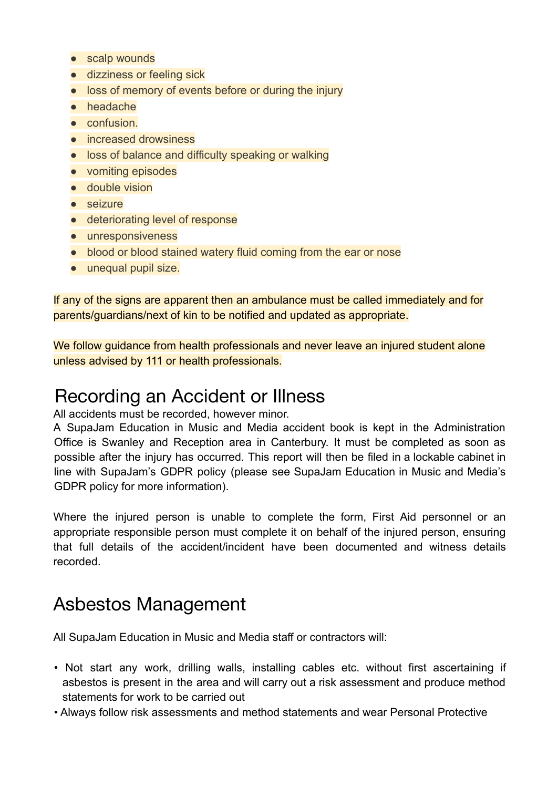- scalp wounds
- dizziness or feeling sick
- loss of memory of events before or during the injury
- headache
- confusion.
- increased drowsiness
- loss of balance and difficulty speaking or walking
- vomiting episodes
- double vision
- seizure
- deteriorating level of response
- unresponsiveness
- blood or blood stained watery fluid coming from the ear or nose
- unequal pupil size.

If any of the signs are apparent then an ambulance must be called immediately and for parents/guardians/next of kin to be notified and updated as appropriate.

We follow guidance from health professionals and never leave an injured student alone unless advised by 111 or health professionals.

#### Recording an Accident or Illness

All accidents must be recorded, however minor.

A SupaJam Education in Music and Media accident book is kept in the Administration Office is Swanley and Reception area in Canterbury. It must be completed as soon as possible after the injury has occurred. This report will then be filed in a lockable cabinet in line with SupaJam's GDPR policy (please see SupaJam Education in Music and Media's GDPR policy for more information).

Where the injured person is unable to complete the form, First Aid personnel or an appropriate responsible person must complete it on behalf of the injured person, ensuring that full details of the accident/incident have been documented and witness details recorded.

### Asbestos Management

All SupaJam Education in Music and Media staff or contractors will:

- Not start any work, drilling walls, installing cables etc. without first ascertaining if asbestos is present in the area and will carry out a risk assessment and produce method statements for work to be carried out
- Always follow risk assessments and method statements and wear Personal Protective